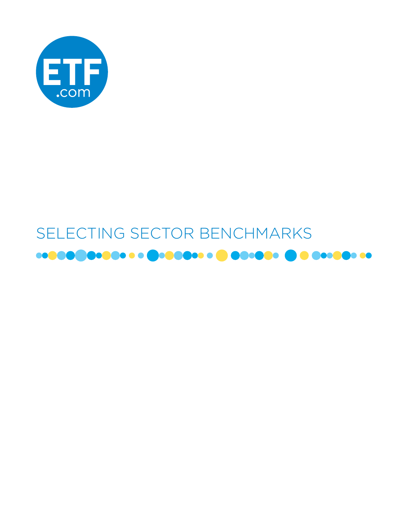

# SELECTING SECTOR BENCHMARKS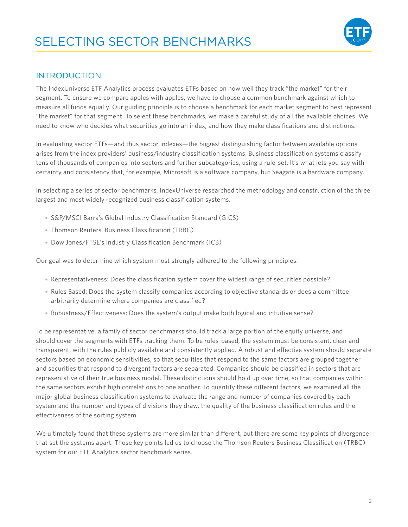

### INTRODUCTION

The IndexUniverse ETF Analytics process evaluates ETFs based on how well they track "the market" for their segment. To ensure we compare apples with apples, we have to choose a common benchmark against which to measure all funds equally. Our guiding principle is to choose a benchmark for each market segment to best represent "the market" for that segment. To select these benchmarks, we make a careful study of all the available choices. We need to know who decides what securities go into an index, and how they make classifications and distinctions.

In evaluating sector ETFs—and thus sector indexes—the biggest distinguishing factor between available options arises from the index providers' business/industry classification systems. Business classification systems classify tens of thousands of companies into sectors and further subcategories, using a rule-set. It's what lets you say with certainty and consistency that, for example, Microsoft is a software company, but Seagate is a hardware company.

In selecting a series of sector benchmarks, IndexUniverse researched the methodology and construction of the three largest and most widely recognized business classification systems.

- S&P/MSCI Barra's Global Industry Classification Standard (GICS)
- Thomson Reuters' Business Classification (TRBC)
- Dow Jones/FTSE's Industry Classification Benchmark (ICB)

Our goal was to determine which system most strongly adhered to the following principles:

- Representativeness: Does the classification system cover the widest range of securities possible?
- Rules Based: Does the system classify companies according to objective standards or does a committee arbitrarily determine where companies are classified?
- Robustness/Effectiveness: Does the system's output make both logical and intuitive sense?

To be representative, a family of sector benchmarks should track a large portion of the equity universe, and should cover the segments with ETFs tracking them. To be rules-based, the system must be consistent, clear and transparent, with the rules publicly available and consistently applied. A robust and effective system should separate sectors based on economic sensitivities, so that securities that respond to the same factors are grouped together and securities that respond to divergent factors are separated. Companies should be classified in sectors that are representative of their true business model. These distinctions should hold up over time, so that companies within the same sectors exhibit high correlations to one another. To quantify these different factors, we examined all the major global business classification systems to evaluate the range and number of companies covered by each system and the number and types of divisions they draw, the quality of the business classification rules and the effectiveness of the sorting system.

We ultimately found that these systems are more similar than different, but there are some key points of divergence that set the systems apart. Those key points led us to choose the Thomson Reuters Business Classification (TRBC) system for our ETF Analytics sector benchmark series.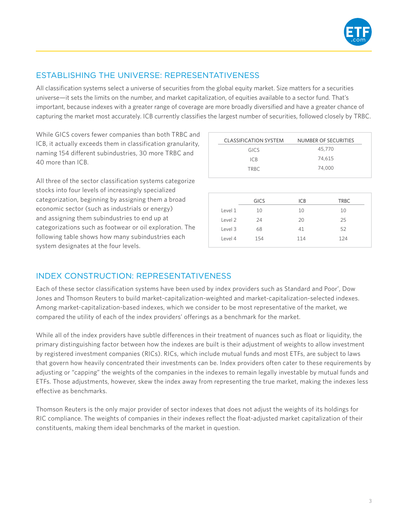

# ESTABLISHING THE UNIVERSE: REPRESENTATIVENESS

All classification systems select a universe of securities from the global equity market. Size matters for a securities universe—it sets the limits on the number, and market capitalization, of equities available to a sector fund. That's important, because indexes with a greater range of coverage are more broadly diversified and have a greater chance of capturing the market most accurately. ICB currently classifies the largest number of securities, followed closely by TRBC.

While GICS covers fewer companies than both TRBC and ICB, it actually exceeds them in classification granularity, naming 154 different subindustries, 30 more TRBC and 40 more than ICB.

All three of the sector classification systems categorize stocks into four levels of increasingly specialized categorization, beginning by assigning them a broad economic sector (such as industrials or energy) and assigning them subindustries to end up at categorizations such as footwear or oil exploration. The following table shows how many subindustries each system designates at the four levels.

| <b>CLASSIFICATION SYSTEM</b> | NUMBER OF SECURITIES |
|------------------------------|----------------------|
| GICS                         | 45,770               |
| ICB                          | 74,615               |
| TRBC.                        | 74.000               |

|         | <b>GICS</b> | <b>ICB</b> | <b>TRBC</b> |  |
|---------|-------------|------------|-------------|--|
| Level 1 | 10          | 10         | 10          |  |
| Level 2 | 24          | 20         | 25          |  |
| Level 3 | 68          | 41         | 52          |  |
| Level 4 | 154         | 114        | 124         |  |
|         |             |            |             |  |

# INDEX CONSTRUCTION: REPRESENTATIVENESS

Each of these sector classification systems have been used by index providers such as Standard and Poor', Dow Jones and Thomson Reuters to build market-capitalization-weighted and market-capitalization-selected indexes. Among market-capitalization-based indexes, which we consider to be most representative of the market, we compared the utility of each of the index providers' offerings as a benchmark for the market.

While all of the index providers have subtle differences in their treatment of nuances such as float or liquidity, the primary distinguishing factor between how the indexes are built is their adjustment of weights to allow investment by registered investment companies (RICs). RICs, which include mutual funds and most ETFs, are subject to laws that govern how heavily concentrated their investments can be. Index providers often cater to these requirements by adjusting or "capping" the weights of the companies in the indexes to remain legally investable by mutual funds and ETFs. Those adjustments, however, skew the index away from representing the true market, making the indexes less effective as benchmarks.

Thomson Reuters is the only major provider of sector indexes that does not adjust the weights of its holdings for RIC compliance. The weights of companies in their indexes reflect the float-adjusted market capitalization of their constituents, making them ideal benchmarks of the market in question.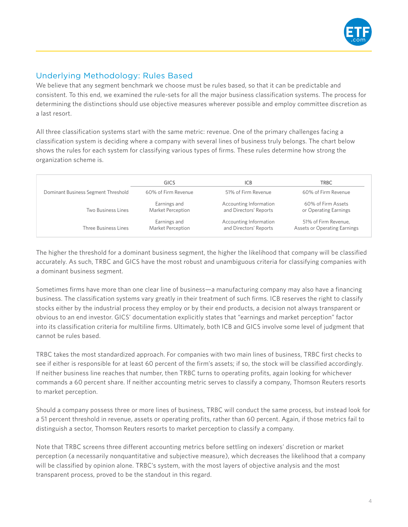

# Underlying Methodology: Rules Based

We believe that any segment benchmark we choose must be rules based, so that it can be predictable and consistent. To this end, we examined the rule-sets for all the major business classification systems. The process for determining the distinctions should use objective measures wherever possible and employ committee discretion as a last resort.

All three classification systems start with the same metric: revenue. One of the primary challenges facing a classification system is deciding where a company with several lines of business truly belongs. The chart below shows the rules for each system for classifying various types of firms. These rules determine how strong the organization scheme is.

|                                     | <b>GICS</b>         | ICB                    | TRBC                                |
|-------------------------------------|---------------------|------------------------|-------------------------------------|
| Dominant Business Segment Threshold | 60% of Firm Revenue | 51% of Firm Revenue    | 60% of Firm Revenue                 |
| Two Business Lines                  | Earnings and        | Accounting Information | 60% of Firm Assets                  |
|                                     | Market Perception   | and Directors' Reports | or Operating Earnings               |
| Three Business Lines                | Earnings and        | Accounting Information | 51% of Firm Revenue,                |
|                                     | Market Perception   | and Directors' Reports | <b>Assets or Operating Earnings</b> |

The higher the threshold for a dominant business segment, the higher the likelihood that company will be classified accurately. As such, TRBC and GICS have the most robust and unambiguous criteria for classifying companies with a dominant business segment.

Sometimes firms have more than one clear line of business—a manufacturing company may also have a financing business. The classification systems vary greatly in their treatment of such firms. ICB reserves the right to classify stocks either by the industrial process they employ or by their end products, a decision not always transparent or obvious to an end investor. GICS' documentation explicitly states that "earnings and market perception" factor into its classification criteria for multiline firms. Ultimately, both ICB and GICS involve some level of judgment that cannot be rules based.

TRBC takes the most standardized approach. For companies with two main lines of business, TRBC first checks to see if either is responsible for at least 60 percent of the firm's assets; if so, the stock will be classified accordingly. If neither business line reaches that number, then TRBC turns to operating profits, again looking for whichever commands a 60 percent share. If neither accounting metric serves to classify a company, Thomson Reuters resorts to market perception.

Should a company possess three or more lines of business, TRBC will conduct the same process, but instead look for a 51 percent threshold in revenue, assets or operating profits, rather than 60 percent. Again, if those metrics fail to distinguish a sector, Thomson Reuters resorts to market perception to classify a company.

Note that TRBC screens three different accounting metrics before settling on indexers' discretion or market perception (a necessarily nonquantitative and subjective measure), which decreases the likelihood that a company will be classified by opinion alone. TRBC's system, with the most layers of objective analysis and the most transparent process, proved to be the standout in this regard.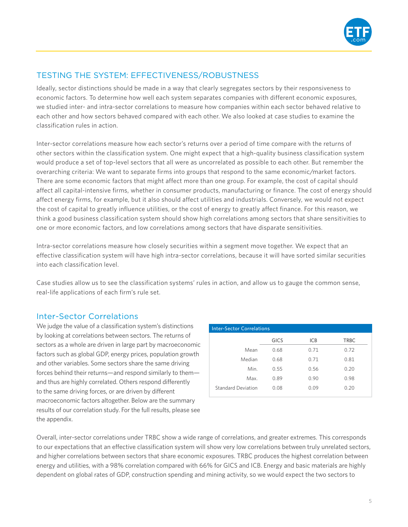

# TESTING THE SYSTEM: EFFECTIVENESS/ROBUSTNESS

Ideally, sector distinctions should be made in a way that clearly segregates sectors by their responsiveness to economic factors. To determine how well each system separates companies with different economic exposures, we studied inter- and intra-sector correlations to measure how companies within each sector behaved relative to each other and how sectors behaved compared with each other. We also looked at case studies to examine the classification rules in action.

Inter-sector correlations measure how each sector's returns over a period of time compare with the returns of other sectors within the classification system. One might expect that a high-quality business classification system would produce a set of top-level sectors that all were as uncorrelated as possible to each other. But remember the overarching criteria: We want to separate firms into groups that respond to the same economic/market factors. There are some economic factors that might affect more than one group. For example, the cost of capital should affect all capital-intensive firms, whether in consumer products, manufacturing or finance. The cost of energy should affect energy firms, for example, but it also should affect utilities and industrials. Conversely, we would not expect the cost of capital to greatly influence utilities, or the cost of energy to greatly affect finance. For this reason, we think a good business classification system should show high correlations among sectors that share sensitivities to one or more economic factors, and low correlations among sectors that have disparate sensitivities.

Intra-sector correlations measure how closely securities within a segment move together. We expect that an effective classification system will have high intra-sector correlations, because it will have sorted similar securities into each classification level.

Case studies allow us to see the classification systems' rules in action, and allow us to gauge the common sense, real-life applications of each firm's rule set.

#### Inter-Sector Correlations

We judge the value of a classification system's distinctions by looking at correlations between sectors. The returns of sectors as a whole are driven in large part by macroeconomic factors such as global GDP, energy prices, population growth and other variables. Some sectors share the same driving forces behind their returns—and respond similarly to them and thus are highly correlated. Others respond differently to the same driving forces, or are driven by different macroeconomic factors altogether. Below are the summary results of our correlation study. For the full results, please see the appendix.

| <b>Inter-Sector Correlations</b> |             |            |             |  |
|----------------------------------|-------------|------------|-------------|--|
|                                  | <b>GICS</b> | <b>ICB</b> | <b>TRBC</b> |  |
| Mean                             | 0.68        | 0.71       | 0.72        |  |
| Median                           | 0.68        | 0.71       | 0.81        |  |
| Min.                             | 0.55        | 0.56       | 0.20        |  |
| Max.                             | 0.89        | 0.90       | 0.98        |  |
| Standard Deviation               | 0.08        | 0.09       | 0.20        |  |

Overall, inter-sector correlations under TRBC show a wide range of correlations, and greater extremes. This corresponds to our expectations that an effective classification system will show very low correlations between truly unrelated sectors, and higher correlations between sectors that share economic exposures. TRBC produces the highest correlation between energy and utilities, with a 98% correlation compared with 66% for GICS and ICB. Energy and basic materials are highly dependent on global rates of GDP, construction spending and mining activity, so we would expect the two sectors to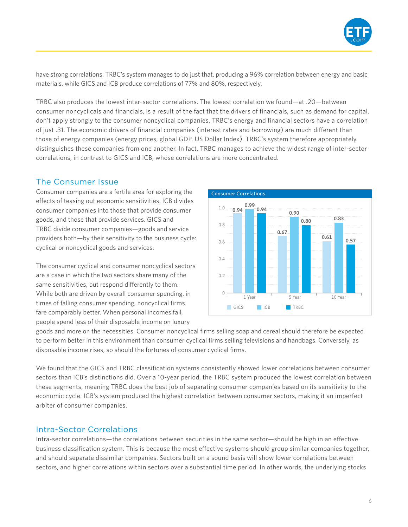

have strong correlations. TRBC's system manages to do just that, producing a 96% correlation between energy and basic materials, while GICS and ICB produce correlations of 77% and 80%, respectively.

TRBC also produces the lowest inter-sector correlations. The lowest correlation we found—at .20—between consumer noncyclicals and financials, is a result of the fact that the drivers of financials, such as demand for capital, don't apply strongly to the consumer noncyclical companies. TRBC's energy and financial sectors have a correlation of just .31. The economic drivers of financial companies (interest rates and borrowing) are much different than those of energy companies (energy prices, global GDP, US Dollar Index). TRBC's system therefore appropriately distinguishes these companies from one another. In fact, TRBC manages to achieve the widest range of inter-sector correlations, in contrast to GICS and ICB, whose correlations are more concentrated.

#### The Consumer Issue

Consumer companies are a fertile area for exploring the effects of teasing out economic sensitivities. ICB divides consumer companies into those that provide consumer goods, and those that provide services. GICS and TRBC divide consumer companies—goods and service providers both—by their sensitivity to the business cycle: cyclical or noncyclical goods and services.

The consumer cyclical and consumer noncyclical sectors are a case in which the two sectors share many of the same sensitivities, but respond differently to them. While both are driven by overall consumer spending, in times of falling consumer spending, noncyclical firms fare comparably better. When personal incomes fall, people spend less of their disposable income on luxury



goods and more on the necessities. Consumer noncyclical firms selling soap and cereal should therefore be expected to perform better in this environment than consumer cyclical firms selling televisions and handbags. Conversely, as disposable income rises, so should the fortunes of consumer cyclical firms.

We found that the GICS and TRBC classification systems consistently showed lower correlations between consumer sectors than ICB's distinctions did. Over a 10-year period, the TRBC system produced the lowest correlation between these segments, meaning TRBC does the best job of separating consumer companies based on its sensitivity to the economic cycle. ICB's system produced the highest correlation between consumer sectors, making it an imperfect arbiter of consumer companies.

#### Intra-Sector Correlations

Intra-sector correlations—the correlations between securities in the same sector—should be high in an effective business classification system. This is because the most effective systems should group similar companies together, and should separate dissimilar companies. Sectors built on a sound basis will show lower correlations between sectors, and higher correlations within sectors over a substantial time period. In other words, the underlying stocks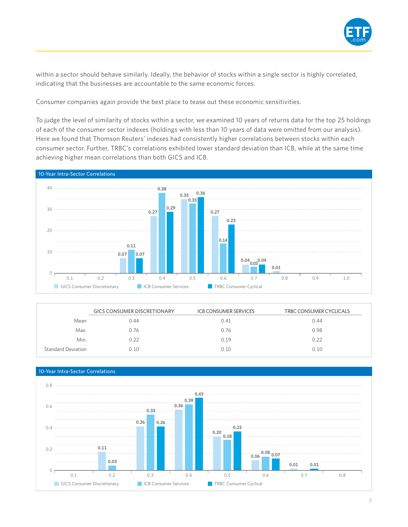

within a sector should behave similarly. Ideally, the behavior of stocks within a single sector is highly correlated, indicating that the businesses are accountable to the same economic forces.

Consumer companies again provide the best place to tease out these economic sensitivities.

To judge the level of similarity of stocks within a sector, we examined 10 years of returns data for the top 25 holdings of each of the consumer sector indexes (holdings with less than 10 years of data were omitted from our analysis). Here we found that Thomson Reuters' indexes had consistently higher correlations between stocks within each consumer sector. Further, TRBC's correlations exhibited lower standard deviation than ICB, while at the same time achieving higher mean correlations than both GICS and ICB.



|                           | <b>GICS CONSUMER DISCRETIONARY</b> | <b>ICB CONSUMER SERVICES</b> | TRBC CONSUMER CYCLICALS |
|---------------------------|------------------------------------|------------------------------|-------------------------|
| Mean                      | 0.44                               | 0.41                         | 0.44                    |
| Max.                      | 0.76                               | 0.76                         | 0.98                    |
| Min.                      | 0.22                               | 0.19                         | 0.22                    |
| <b>Standard Deviation</b> | 0.10                               | 0.10                         | 0.10                    |



7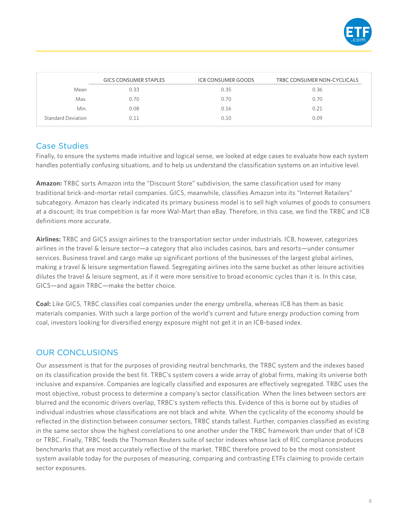

|                           | <b>GICS CONSUMER STAPLES</b> | <b>ICB CONSUMER GOODS</b> | TRBC CONSUMER NON-CYCLICALS |
|---------------------------|------------------------------|---------------------------|-----------------------------|
| Mean                      | 0.33                         | 0.35                      | 0.36                        |
| Max.                      | 0.70                         | 0.70                      | 0.70                        |
| Min.                      | 0.08                         | 0.16                      | 0.21                        |
| <b>Standard Deviation</b> | 0.11                         | 0.10                      | 0.09                        |

#### Case Studies

Finally, to ensure the systems made intuitive and logical sense, we looked at edge cases to evaluate how each system handles potentially confusing situations, and to help us understand the classification systems on an intuitive level.

**Amazon:** TRBC sorts Amazon into the "Discount Store" subdivision, the same classification used for many traditional brick-and-mortar retail companies. GICS, meanwhile, classifies Amazon into its "Internet Retailers" subcategory. Amazon has clearly indicated its primary business model is to sell high volumes of goods to consumers at a discount; its true competition is far more Wal-Mart than eBay. Therefore, in this case, we find the TRBC and ICB definitions more accurate.

**Airlines:** TRBC and GICS assign airlines to the transportation sector under industrials. ICB, however, categorizes airlines in the travel & leisure sector—a category that also includes casinos, bars and resorts—under consumer services. Business travel and cargo make up significant portions of the businesses of the largest global airlines, making a travel & leisure segmentation flawed. Segregating airlines into the same bucket as other leisure activities dilutes the travel & leisure segment, as if it were more sensitive to broad economic cycles than it is. In this case, GICS—and again TRBC—make the better choice.

**Coal:** Like GICS, TRBC classifies coal companies under the energy umbrella, whereas ICB has them as basic materials companies. With such a large portion of the world's current and future energy production coming from coal, investors looking for diversified energy exposure might not get it in an ICB-based index.

# OUR CONCLUSIONS

Our assessment is that for the purposes of providing neutral benchmarks, the TRBC system and the indexes based on its classification provide the best fit. TRBC's system covers a wide array of global firms, making its universe both inclusive and expansive. Companies are logically classified and exposures are effectively segregated. TRBC uses the most objective, robust process to determine a company's sector classification. When the lines between sectors are blurred and the economic drivers overlap, TRBC's system reflects this. Evidence of this is borne out by studies of individual industries whose classifications are not black and white. When the cyclicality of the economy should be reflected in the distinction between consumer sectors, TRBC stands tallest. Further, companies classified as existing in the same sector show the highest correlations to one another under the TRBC framework than under that of ICB or TRBC. Finally, TRBC feeds the Thomson Reuters suite of sector indexes whose lack of RIC compliance produces benchmarks that are most accurately reflective of the market. TRBC therefore proved to be the most consistent system available today for the purposes of measuring, comparing and contrasting ETFs claiming to provide certain sector exposures.